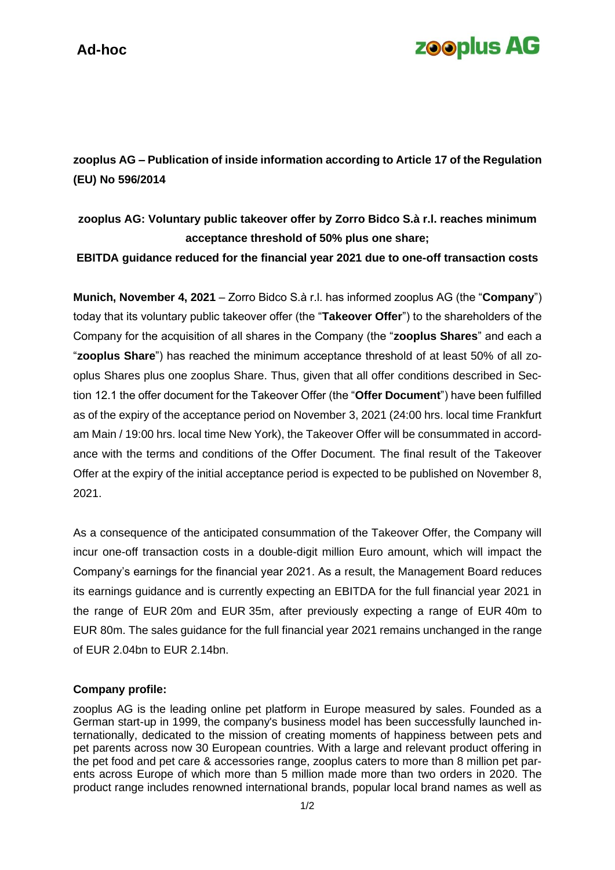## **zooplus AG**

**zooplus AG – Publication of inside information according to Article 17 of the Regulation (EU) No 596/2014**

## **zooplus AG: Voluntary public takeover offer by Zorro Bidco S.à r.l. reaches minimum acceptance threshold of 50% plus one share;**

**EBITDA guidance reduced for the financial year 2021 due to one-off transaction costs**

**Munich, November 4, 2021** – Zorro Bidco S.à r.l. has informed zooplus AG (the "**Company**") today that its voluntary public takeover offer (the "**Takeover Offer**") to the shareholders of the Company for the acquisition of all shares in the Company (the "**zooplus Shares**" and each a "**zooplus Share**") has reached the minimum acceptance threshold of at least 50% of all zooplus Shares plus one zooplus Share. Thus, given that all offer conditions described in Section 12.1 the offer document for the Takeover Offer (the "**Offer Document**") have been fulfilled as of the expiry of the acceptance period on November 3, 2021 (24:00 hrs. local time Frankfurt am Main / 19:00 hrs. local time New York), the Takeover Offer will be consummated in accordance with the terms and conditions of the Offer Document. The final result of the Takeover Offer at the expiry of the initial acceptance period is expected to be published on November 8, 2021.

As a consequence of the anticipated consummation of the Takeover Offer, the Company will incur one-off transaction costs in a double-digit million Euro amount, which will impact the Company's earnings for the financial year 2021. As a result, the Management Board reduces its earnings guidance and is currently expecting an EBITDA for the full financial year 2021 in the range of EUR 20m and EUR 35m, after previously expecting a range of EUR 40m to EUR 80m. The sales guidance for the full financial year 2021 remains unchanged in the range of EUR 2.04bn to EUR 2.14bn.

## **Company profile:**

zooplus AG is the leading online pet platform in Europe measured by sales. Founded as a German start-up in 1999, the company's business model has been successfully launched internationally, dedicated to the mission of creating moments of happiness between pets and pet parents across now 30 European countries. With a large and relevant product offering in the pet food and pet care & accessories range, zooplus caters to more than 8 million pet parents across Europe of which more than 5 million made more than two orders in 2020. The product range includes renowned international brands, popular local brand names as well as